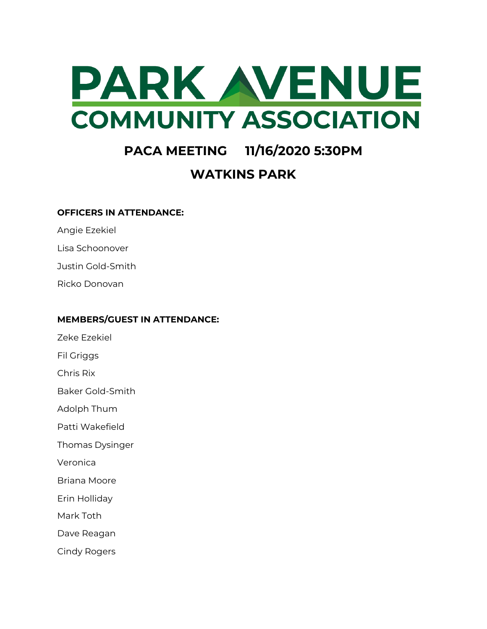

# **PACA MEETING 11/16/2020 5:30PM**

## **WATKINS PARK**

#### **OFFICERS IN ATTENDANCE:**

Angie Ezekiel

Lisa Schoonover

Justin Gold-Smith

Ricko Donovan

#### **MEMBERS/GUEST IN ATTENDANCE:**

Zeke Ezekiel

Fil Griggs

Chris Rix

Baker Gold-Smith

Adolph Thum

Patti Wakefield

Thomas Dysinger

Veronica

Briana Moore

Erin Holliday

Mark Toth

Dave Reagan

Cindy Rogers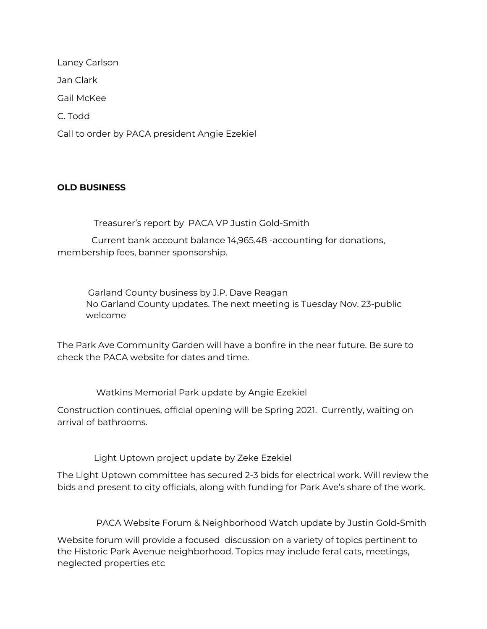Laney Carlson Jan Clark Gail McKee C. Todd Call to order by PACA president Angie Ezekiel

### **OLD BUSINESS**

Treasurer's report by PACA VP Justin Gold-Smith

Current bank account balance 14,965.48 -accounting for donations, membership fees, banner sponsorship.

Garland County business by J.P. Dave Reagan No Garland County updates. The next meeting is Tuesday Nov. 23-public welcome

The Park Ave Community Garden will have a bonfire in the near future. Be sure to check the PACA website for dates and time.

Watkins Memorial Park update by Angie Ezekiel

Construction continues, official opening will be Spring 2021. Currently, waiting on arrival of bathrooms.

Light Uptown project update by Zeke Ezekiel

The Light Uptown committee has secured 2-3 bids for electrical work. Will review the bids and present to city officials, along with funding for Park Ave's share of the work.

PACA Website Forum & Neighborhood Watch update by Justin Gold-Smith

Website forum will provide a focused discussion on a variety of topics pertinent to the Historic Park Avenue neighborhood. Topics may include feral cats, meetings, neglected properties etc